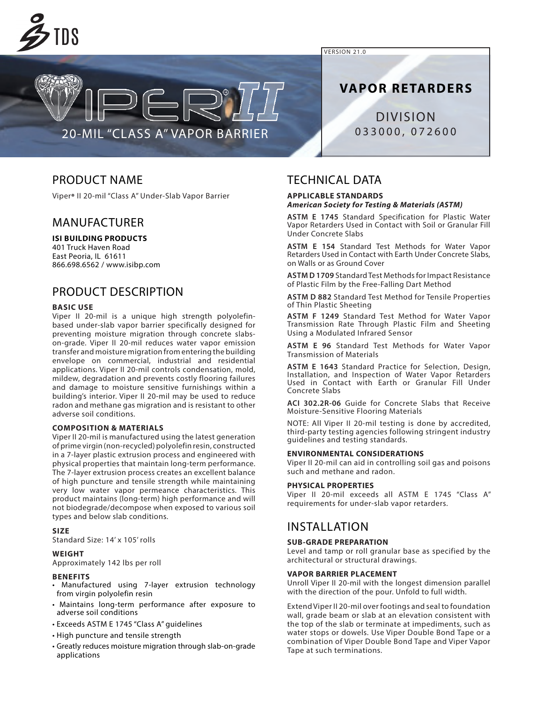

VERSION 21.0

**VAPOR RETARDERS**

DIVISION 033000, 072600

# PRODUCT NAME

Viper® II 20-mil "Class A" Under-Slab Vapor Barrier

20-MIL "CLASS A" VAPOR BARRIER

## MANUFACTURER

## **ISI BUILDING PRODUCTS**

401 Truck Haven Road East Peoria, IL 61611 866.698.6562 / www.isibp.com

# PRODUCT DESCRIPTION

### **BASIC USE**

Viper II 20-mil is a unique high strength polyolefinbased under-slab vapor barrier specifically designed for preventing moisture migration through concrete slabson-grade. Viper II 20-mil reduces water vapor emission transfer and moisture migration from entering the building envelope on commercial, industrial and residential applications. Viper II 20-mil controls condensation, mold, mildew, degradation and prevents costly flooring failures and damage to moisture sensitive furnishings within a building's interior. Viper II 20-mil may be used to reduce radon and methane gas migration and is resistant to other adverse soil conditions.

### **COMPOSITION & MATERIALS**

Viper II 20-mil is manufactured using the latest generation of prime virgin (non-recycled) polyolefin resin, constructed in a 7-layer plastic extrusion process and engineered with physical properties that maintain long-term performance. The 7-layer extrusion process creates an excellent balance of high puncture and tensile strength while maintaining very low water vapor permeance characteristics. This product maintains (long-term) high performance and will not biodegrade/decompose when exposed to various soil types and below slab conditions.

### **SIZE**

Standard Size: 14' x 105' rolls

#### **WEIGHT**

Approximately 142 lbs per roll

#### **BENEFITS**

- Manufactured using 7-layer extrusion technology from virgin polyolefin resin
- Maintains long-term performance after exposure to adverse soil conditions
- Exceeds ASTM E 1745 "Class A" guidelines
- High puncture and tensile strength
- Greatly reduces moisture migration through slab-on-grade applications

## TECHNICAL DATA

### **APPLICABLE STANDARDS** *American Society for Testing & Materials (ASTM)*

**ASTM E 1745** Standard Specification for Plastic Water Vapor Retarders Used in Contact with Soil or Granular Fill Under Concrete Slabs

**ASTM E 154** Standard Test Methods for Water Vapor Retarders Used in Contact with Earth Under Concrete Slabs, on Walls or as Ground Cover

**ASTM D 1709** Standard Test Methods for Impact Resistance of Plastic Film by the Free-Falling Dart Method

**ASTM D 882** Standard Test Method for Tensile Properties of Thin Plastic Sheeting

**ASTM F 1249** Standard Test Method for Water Vapor Transmission Rate Through Plastic Film and Sheeting Using a Modulated Infrared Sensor

**ASTM E 96** Standard Test Methods for Water Vapor Transmission of Materials

**ASTM E 1643** Standard Practice for Selection, Design, Installation, and Inspection of Water Vapor Retarders Used in Contact with Earth or Granular Fill Under Concrete Slabs

**ACI 302.2R-06** Guide for Concrete Slabs that Receive Moisture-Sensitive Flooring Materials

NOTE: All Viper II 20-mil testing is done by accredited, third-party testing agencies following stringent industry guidelines and testing standards.

#### **ENVIRONMENTAL CONSIDERATIONS**

Viper II 20-mil can aid in controlling soil gas and poisons such and methane and radon.

#### **PHYSICAL PROPERTIES**

Viper II 20-mil exceeds all ASTM E 1745 "Class A" requirements for under-slab vapor retarders.

# INSTALLATION

### **SUB-GRADE PREPARATION**

Level and tamp or roll granular base as specified by the architectural or structural drawings.

#### **VAPOR BARRIER PLACEMENT**

Unroll Viper II 20-mil with the longest dimension parallel with the direction of the pour. Unfold to full width.

Extend Viper II 20-mil over footings and seal to foundation wall, grade beam or slab at an elevation consistent with the top of the slab or terminate at impediments, such as water stops or dowels. Use Viper Double Bond Tape or a combination of Viper Double Bond Tape and Viper Vapor Tape at such terminations.